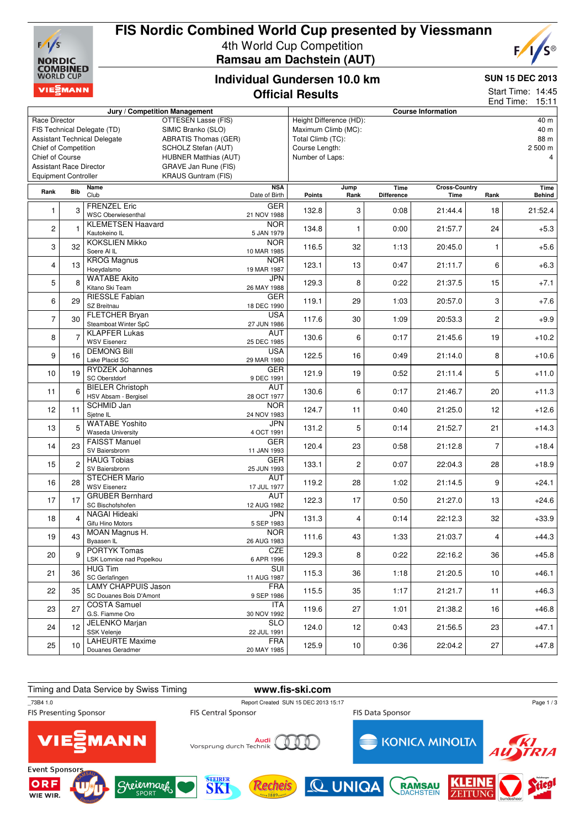

## **FIS Nordic Combined World Cup presented by Viessmann** 4th World Cup Competition **Ramsau am Dachstein (AUT)**



## **Individual Gundersen 10.0 km Official Results**

#### **SUN 15 DEC 2013**

Start Time: 14:45

|                                                                    |                |                            |                               |                             |                                 |                |                           |                              |                | 15:11<br>End Time:    |  |
|--------------------------------------------------------------------|----------------|----------------------------|-------------------------------|-----------------------------|---------------------------------|----------------|---------------------------|------------------------------|----------------|-----------------------|--|
|                                                                    |                |                            | Jury / Competition Management |                             |                                 |                | <b>Course Information</b> |                              |                |                       |  |
| Race Director<br>OTTESEN Lasse (FIS)                               |                |                            |                               |                             | Height Difference (HD):<br>40 m |                |                           |                              |                |                       |  |
| FIS Technical Delegate (TD)<br>SIMIC Branko (SLO)                  |                |                            |                               | Maximum Climb (MC):         |                                 |                |                           |                              | 40 m           |                       |  |
| <b>Assistant Technical Delegate</b><br><b>ABRATIS Thomas (GER)</b> |                |                            |                               | Total Climb (TC):           |                                 |                | 88 m                      |                              |                |                       |  |
| Chief of Competition                                               |                |                            | SCHOLZ Stefan (AUT)           |                             | Course Length:                  |                |                           |                              |                | 2 500 m               |  |
| Chief of Course<br><b>HUBNER Matthias (AUT)</b>                    |                |                            |                               | Number of Laps:             |                                 |                |                           |                              | 4              |                       |  |
| <b>Assistant Race Director</b><br><b>GRAVE Jan Rune (FIS)</b>      |                |                            |                               |                             |                                 |                |                           |                              |                |                       |  |
| <b>Equipment Controller</b>                                        |                |                            | <b>KRAUS Guntram (FIS)</b>    |                             |                                 |                |                           |                              |                |                       |  |
|                                                                    |                |                            |                               |                             |                                 |                |                           |                              |                |                       |  |
| Rank                                                               | Bib            | Name<br>Club               |                               | <b>NSA</b><br>Date of Birth | <b>Points</b>                   | Jump<br>Rank   | Time<br><b>Difference</b> | <b>Cross-Country</b><br>Time | Rank           | Time<br><b>Behind</b> |  |
|                                                                    |                | <b>FRENZEL Eric</b>        |                               |                             |                                 |                |                           |                              |                |                       |  |
| $\mathbf{1}$                                                       | 3              | <b>WSC Oberwiesenthal</b>  |                               | <b>GER</b>                  | 132.8                           | 3              | 0:08                      | 21:44.4                      | 18             | 21:52.4               |  |
|                                                                    |                |                            |                               | 21 NOV 1988                 |                                 |                |                           |                              |                |                       |  |
| 2                                                                  |                | <b>KLEMETSEN Haavard</b>   |                               | <b>NOR</b>                  | 134.8                           | $\mathbf{1}$   | 0:00                      | 21:57.7                      | 24             | $+5.3$                |  |
|                                                                    |                | Kautokeino IL              |                               | 5 JAN 1979                  |                                 |                |                           |                              |                |                       |  |
| 3                                                                  | 32             | <b>KOKSLIEN Mikko</b>      |                               | <b>NOR</b>                  | 116.5                           | 32             | 1:13                      | 20:45.0                      | 1              | $+5.6$                |  |
|                                                                    |                | Soere Al IL                |                               | 10 MAR 1985                 |                                 |                |                           |                              |                |                       |  |
| 4                                                                  | 13             | <b>KROG Magnus</b>         |                               | <b>NOR</b>                  | 123.1                           | 13             | 0:47                      | 21:11.7                      | 6              | $+6.3$                |  |
|                                                                    |                | Hoeydalsmo                 |                               | 19 MAR 1987                 |                                 |                |                           |                              |                |                       |  |
| 5                                                                  | 8              | <b>WATABE Akito</b>        |                               | JPN                         | 129.3                           | 8              | 0:22                      | 21:37.5                      | 15             | $+7.1$                |  |
|                                                                    |                | Kitano Ski Team            |                               | 26 MAY 1988                 |                                 |                |                           |                              |                |                       |  |
| 6                                                                  | 29             | <b>RIESSLE Fabian</b>      |                               | <b>GER</b>                  | 119.1                           | 29             | 1:03                      | 20:57.0                      | 3              | $+7.6$                |  |
|                                                                    |                | SZ Breitnau                |                               | 18 DEC 1990                 |                                 |                |                           |                              |                |                       |  |
| $\overline{7}$                                                     | 30             | FLETCHER Bryan             |                               | <b>USA</b>                  | 117.6                           | 30             | 1:09                      | 20:53.3                      | $\overline{c}$ | $+9.9$                |  |
|                                                                    |                | Steamboat Winter SpC       |                               | 27 JUN 1986                 |                                 |                |                           |                              |                |                       |  |
|                                                                    | $\overline{7}$ | <b>KLAPFER Lukas</b>       |                               | <b>AUT</b>                  |                                 |                |                           |                              |                |                       |  |
| 8                                                                  |                | <b>WSV Eisenerz</b>        |                               | 25 DEC 1985                 | 130.6                           | 6              | 0:17                      | 21:45.6                      | 19             | $+10.2$               |  |
|                                                                    |                | <b>DEMONG Bill</b>         |                               | <b>USA</b>                  |                                 |                |                           |                              |                |                       |  |
| 9                                                                  | 16             | Lake Placid SC             |                               | 29 MAR 1980                 | 122.5                           | 16             | 0:49                      | 21:14.0                      | 8              | $+10.6$               |  |
|                                                                    |                | <b>RYDZEK Johannes</b>     |                               | <b>GER</b>                  |                                 |                |                           |                              |                |                       |  |
| 10                                                                 | 19             | SC Oberstdorf              |                               | 9 DEC 1991                  | 121.9                           | 19             | 0:52                      | 21:11.4                      | 5              | $+11.0$               |  |
| 11                                                                 | 6              | <b>BIELER Christoph</b>    |                               | <b>AUT</b>                  |                                 |                |                           |                              |                |                       |  |
|                                                                    |                | HSV Absam - Bergisel       |                               | 28 OCT 1977                 | 130.6                           | 6              | 0:17                      | 21:46.7                      | 20             | $+11.3$               |  |
|                                                                    |                | SCHMID Jan                 |                               | <b>NOR</b>                  |                                 |                |                           |                              |                |                       |  |
| 12                                                                 | 11             | Sjetne IL                  |                               | 24 NOV 1983                 | 124.7                           | 11             | 0:40                      | 21:25.0                      | 12             | $+12.6$               |  |
|                                                                    |                | <b>WATABE Yoshito</b>      |                               | <b>JPN</b>                  |                                 |                |                           |                              |                |                       |  |
| 13                                                                 | 5              | <b>Waseda University</b>   |                               | 4 OCT 1991                  | 131.2                           | 5              | 0:14                      | 21:52.7                      | 21             | $+14.3$               |  |
|                                                                    |                | <b>FAISST Manuel</b>       |                               | GER                         |                                 |                |                           |                              |                |                       |  |
| 14                                                                 | 23             | SV Baiersbronn             |                               | 11 JAN 1993                 | 120.4                           | 23             | 0:58                      | 21:12.8                      | $\overline{7}$ | +18.4                 |  |
|                                                                    |                | <b>HAUG Tobias</b>         |                               | <b>GER</b>                  |                                 |                |                           |                              |                |                       |  |
| 15                                                                 | $\overline{c}$ | SV Baiersbronn             |                               | 25 JUN 1993                 | 133.1                           | $\overline{c}$ | 0:07                      | 22:04.3                      | 28             | +18.9                 |  |
|                                                                    |                | <b>STECHER Mario</b>       |                               | AUT                         |                                 |                |                           |                              |                |                       |  |
| 16                                                                 | 28             | <b>WSV Eisenerz</b>        |                               | 17 JUL 1977                 | 119.2                           | 28             | 1:02                      | 21:14.5                      | 9              | $+24.1$               |  |
|                                                                    |                | <b>GRUBER Bernhard</b>     |                               | <b>AUT</b>                  |                                 |                |                           |                              |                |                       |  |
| 17                                                                 | 17             | SC Bischofshofen           |                               | 12 AUG 1982                 | 122.3                           | 17             | 0:50                      | 21:27.0                      | 13             | $+24.6$               |  |
|                                                                    |                | <b>NAGAI Hideaki</b>       |                               | JPN                         |                                 |                |                           |                              |                |                       |  |
| 18                                                                 | 4              | Gifu Hino Motors           |                               | 5 SEP 1983                  | 131.3                           | $\overline{4}$ | 0:14                      | 22:12.3                      | 32             | +33.9                 |  |
|                                                                    |                | MOAN Magnus H.             |                               | <b>NOR</b>                  |                                 |                |                           |                              |                |                       |  |
| 19                                                                 | 43             |                            |                               |                             | 111.6                           | 43             | 1:33                      | 21:03.7                      | 4              | $+44.3$               |  |
|                                                                    |                | Byaasen IL<br>PORTYK Tomas |                               | 26 AUG 1983<br>CZE          |                                 |                |                           |                              |                |                       |  |
| 20                                                                 | 9              |                            |                               |                             | 129.3                           | 8              | 0:22                      | 22:16.2                      | 36             | $+45.8$               |  |
|                                                                    |                | LSK Lomnice nad Popelkou   |                               | 6 APR 1996                  |                                 |                |                           |                              |                |                       |  |
| 21                                                                 | 36             | <b>HUG Tim</b>             |                               | <b>SUI</b>                  | 115.3                           | 36             | 1:18                      | 21:20.5                      | 10             | $+46.1$               |  |
|                                                                    |                | SC Gerlafingen             |                               | 11 AUG 1987                 |                                 |                |                           |                              |                |                       |  |
| 22                                                                 | 35             | <b>LAMY CHAPPUIS Jason</b> |                               | <b>FRA</b>                  | 115.5                           | 35             | 1:17                      | 21:21.7                      | 11             | $+46.3$               |  |
|                                                                    |                | SC Douanes Bois D'Amont    |                               | 9 SEP 1986                  |                                 |                |                           |                              |                |                       |  |
| 23                                                                 | 27             | <b>COSTA Samuel</b>        |                               | ITA                         | 119.6                           | 27             | 1:01                      | 21:38.2                      | 16             | $+46.8$               |  |
|                                                                    |                | G.S. Fiamme Oro            |                               | 30 NOV 1992                 |                                 |                |                           |                              |                |                       |  |
| 24                                                                 | 12             | JELENKO Marjan             |                               | <b>SLO</b>                  | 124.0                           |                | 12<br>0:43                | 21:56.5                      | 23             | $+47.1$               |  |
|                                                                    |                | SSK Velenje                |                               | 22 JUL 1991                 |                                 |                |                           |                              |                |                       |  |
| 25                                                                 | 10             | <b>LAHEURTE Maxime</b>     |                               | <b>FRA</b>                  | 125.9                           | 10             | 0:36                      | 22:04.2                      | 27             | $+47.8$               |  |
|                                                                    |                | Douanes Geradmer           |                               | 20 MAY 1985                 |                                 |                |                           |                              |                |                       |  |

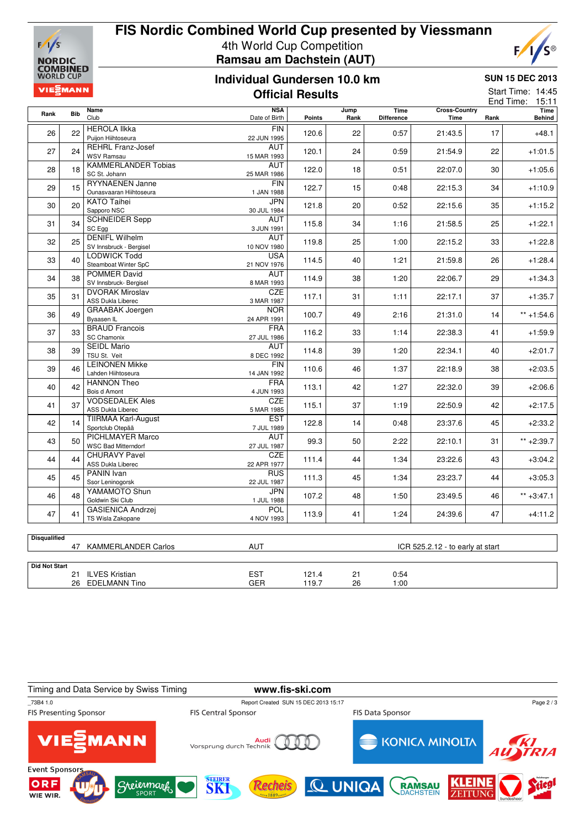

# **FIS Nordic Combined World Cup presented by Viessmann** 4th World Cup Competition **Ramsau am Dachstein (AUT)**

## **Individual Gundersen 10.0 km Official Results**



 $F/I$ 

C®

|                      | <b>VIEZMANN</b><br><b>Official Results</b> |                                                                         |                             |               |                                  |                           |                              | Start Time: 14:45<br>End Time: 15:11 |                |
|----------------------|--------------------------------------------|-------------------------------------------------------------------------|-----------------------------|---------------|----------------------------------|---------------------------|------------------------------|--------------------------------------|----------------|
| Rank                 | <b>Bib</b>                                 | <b>Name</b><br>Club                                                     | <b>NSA</b><br>Date of Birth | <b>Points</b> | Jump<br>Rank                     | Time<br><b>Difference</b> | <b>Cross-Country</b><br>Time | Rank                                 | Time<br>Behind |
| 26                   | 22                                         | <b>HEROLA IIkka</b><br>Puijon Hiihtoseura                               | FIN<br>22 JUN 1995          | 120.6         | 22                               | 0:57                      | 21:43.5                      | 17                                   | $+48.1$        |
| 27                   | 24                                         | <b>REHRL Franz-Josef</b><br><b>WSV Ramsau</b>                           | AUT<br>15 MAR 1993          | 120.1         | 24                               | 0:59                      | 21:54.9                      | 22                                   | $+1:01.5$      |
| 28                   | 18                                         | <b>KAMMERLANDER Tobias</b><br>SC St. Johann                             | <b>AUT</b><br>25 MAR 1986   | 122.0         | 18                               | 0:51                      | 22:07.0                      | 30                                   | $+1:05.6$      |
| 29                   | 15                                         | <b>RYYNAENEN Janne</b><br>Ounasvaaran Hiihtoseura                       | <b>FIN</b><br>1 JAN 1988    | 122.7         | 15                               | 0:48                      | 22:15.3                      | 34                                   | $+1:10.9$      |
| 30                   | 20                                         | <b>KATO Taihei</b><br>Sapporo NSC                                       | JPN<br>30 JUL 1984          | 121.8         | 20                               | 0:52                      | 22:15.6                      | 35                                   | $+1:15.2$      |
| 31                   | 34                                         | <b>SCHNEIDER Sepp</b><br>SC Egg                                         | <b>AUT</b><br>3 JUN 1991    | 115.8         | 34                               | 1:16                      | 21:58.5                      | 25                                   | $+1:22.1$      |
| 32                   | 25                                         | <b>DENIFL Wilhelm</b><br>SV Innsbruck - Bergisel                        | <b>AUT</b><br>10 NOV 1980   | 119.8         | 25                               | 1:00                      | 22:15.2                      | 33                                   | $+1:22.8$      |
| 33                   | 40                                         | LODWICK Todd<br>Steamboat Winter SpC                                    | <b>USA</b><br>21 NOV 1976   | 114.5         | 40                               | 1:21                      | 21:59.8                      | 26                                   | $+1:28.4$      |
| 34                   | 38                                         | <b>POMMER David</b><br>SV Innsbruck- Bergisel<br><b>DVORAK Miroslav</b> | AUT<br>8 MAR 1993<br>CZE    | 114.9         | 38                               | 1:20                      | 22:06.7                      | 29                                   | $+1:34.3$      |
| 35                   | 31                                         | <b>ASS Dukla Liberec</b><br><b>GRAABAK Joergen</b>                      | 3 MAR 1987<br><b>NOR</b>    | 117.1         | 31                               | 1:11                      | 22:17.1                      | 37                                   | $+1:35.7$      |
| 36                   | 49                                         | Byaasen IL<br><b>BRAUD Francois</b>                                     | 24 APR 1991<br><b>FRA</b>   | 100.7         | 49                               | 2:16                      | 21:31.0                      | 14                                   | $** + 1:54.6$  |
| 37                   | 33                                         | <b>SC Chamonix</b><br><b>SEIDL Mario</b>                                | 27 JUL 1986<br>AUT          | 116.2         | 33                               | 1:14                      | 22:38.3                      | 41                                   | $+1:59.9$      |
| 38                   | 39                                         | TSU St. Veit<br><b>LEINONEN Mikke</b>                                   | 8 DEC 1992<br><b>FIN</b>    | 114.8         | 39                               | 1:20                      | 22:34.1                      | 40                                   | $+2:01.7$      |
| 39                   | 46                                         | Lahden Hiihtoseura<br><b>HANNON Theo</b>                                | 14 JAN 1992<br><b>FRA</b>   | 110.6         | 46                               | 1:37                      | 22:18.9                      | 38                                   | $+2:03.5$      |
| 40                   | 42                                         | Bois d Amont<br><b>VODSEDALEK Ales</b>                                  | 4 JUN 1993<br><b>CZE</b>    | 113.1         | 42                               | 1:27                      | 22:32.0                      | 39                                   | $+2:06.6$      |
| 41                   | 37                                         | ASS Dukla Liberec<br><b>TIIRMAA Karl-August</b>                         | 5 MAR 1985<br><b>EST</b>    | 115.1         | 37                               | 1:19                      | 22:50.9                      | 42                                   | $+2:17.5$      |
| 42                   | 14                                         | Sportclub Otepää<br>PICHLMAYER Marco                                    | 7 JUL 1989<br>AUT           | 122.8         | 14                               | 0:48                      | 23:37.6                      | 45                                   | $+2:33.2$      |
| 43                   | 50                                         | <b>WSC Bad Mitterndorf</b><br><b>CHURAVY Pavel</b>                      | 27 JUL 1987<br><b>CZE</b>   | 99.3          | 50                               | 2:22                      | 22:10.1                      | 31                                   | $** + 2:39.7$  |
| 44                   | 44                                         | <b>ASS Dukla Liberec</b><br>PANIN Ivan                                  | 22 APR 1977<br><b>RUS</b>   | 111.4         | 44                               | 1:34                      | 23:22.6                      | 43                                   | $+3:04.2$      |
| 45                   | 45                                         | Ssor Leninogorsk<br>YAMAMOTO Shun                                       | 22 JUL 1987<br>JPN          | 111.3         | 45                               | 1:34                      | 23:23.7                      | 44                                   | $+3:05.3$      |
| 46                   | 48                                         | Goldwin Ski Club<br><b>GASIENICA Andrzei</b>                            | 1 JUL 1988<br><b>POL</b>    | 107.2         | 48                               | 1:50                      | 23:49.5                      | 46                                   | $** +3:47.1$   |
| 47                   | 41                                         | TS Wisla Zakopane                                                       | 4 NOV 1993                  | 113.9         | 41                               | 1:24                      | 24:39.6                      | 47                                   | $+4:11.2$      |
| <b>Disqualified</b>  |                                            | 47 KAMMERLANDER Carlos                                                  | <b>AUT</b>                  |               | ICR 525.2.12 - to early at start |                           |                              |                                      |                |
| <b>Did Not Start</b> |                                            | 21 ILVES Kristian                                                       | <b>EST</b>                  | 121.4         | 21                               | 0:54                      |                              |                                      |                |
|                      |                                            | 26 EDELMANN Tino                                                        | GER                         | 119.7         | 26                               | 1:00                      |                              |                                      |                |